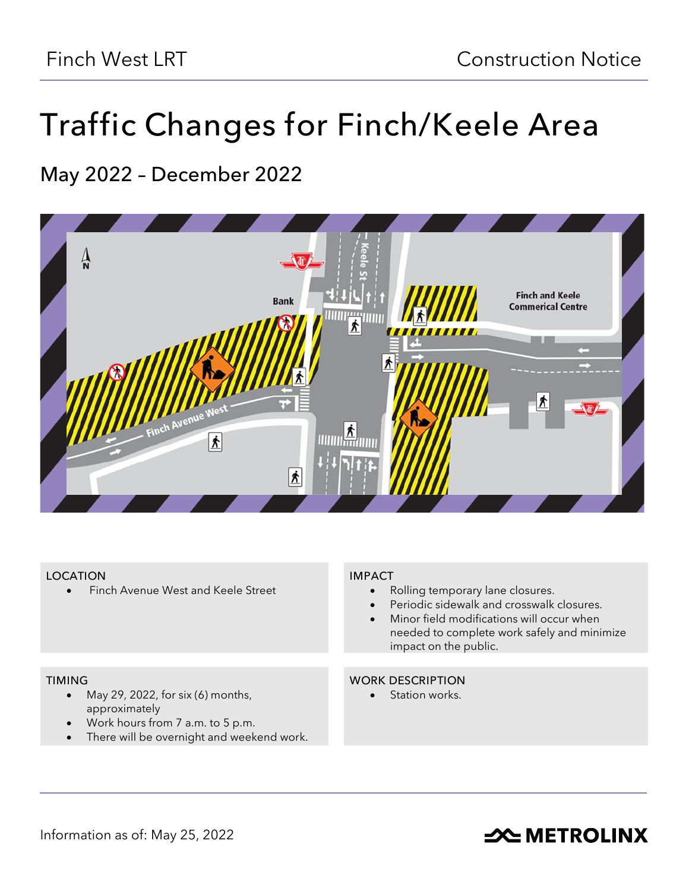# **Traffic Changes for Finch/Keele Area**

## **May 2022 – December 2022**



#### **LOCATION**

• Finch Avenue West and Keele Street

#### **IMPACT**

- Rolling temporary lane closures.
- Periodic sidewalk and crosswalk closures.
- Minor field modifications will occur when needed to complete work safely and minimize impact on the public.

#### **TIMING**

- May 29, 2022, for six  $(6)$  months, approximately
- Work hours from 7 a.m. to 5 p.m.
- There will be overnight and weekend work.

#### **WORK DESCRIPTION**

• Station works.

## **SOUTHER METROLINX**